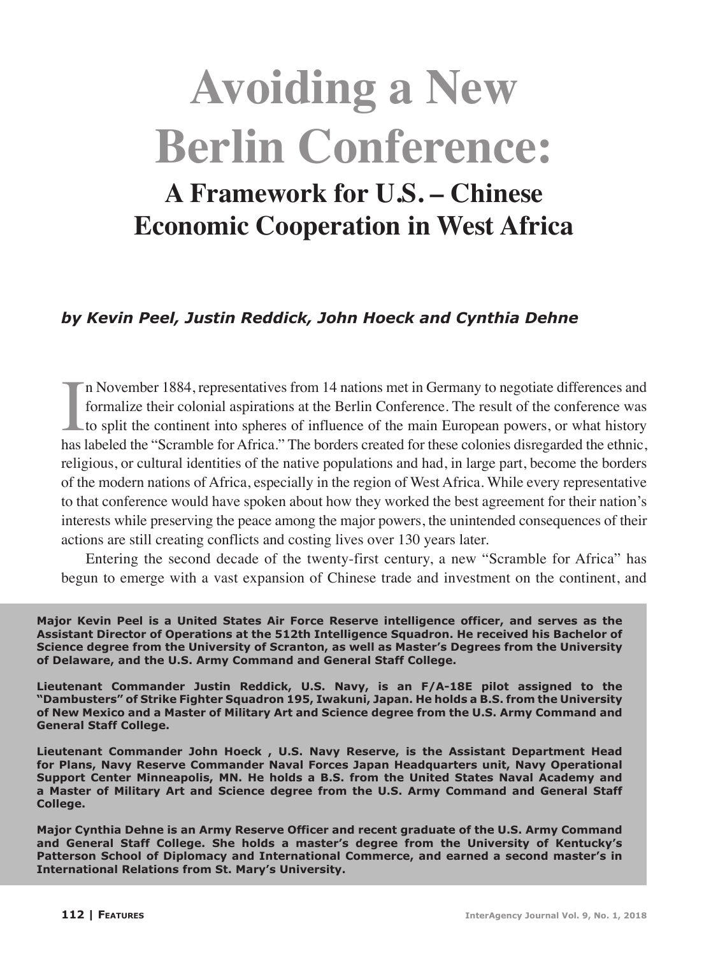# **Avoiding a New Berlin Conference:**

# **A Framework for U.S. – Chinese Economic Cooperation in West Africa**

# *by Kevin Peel, Justin Reddick, John Hoeck and Cynthia Dehne*

In November 1884, representatives from 14 nations met in Germany to negotiate differences and formalize their colonial aspirations at the Berlin Conference. The result of the conference was to split the continent into sphe n November 1884, representatives from 14 nations met in Germany to negotiate differences and formalize their colonial aspirations at the Berlin Conference. The result of the conference was to split the continent into spheres of influence of the main European powers, or what history religious, or cultural identities of the native populations and had, in large part, become the borders of the modern nations of Africa, especially in the region of West Africa. While every representative to that conference would have spoken about how they worked the best agreement for their nation's interests while preserving the peace among the major powers, the unintended consequences of their actions are still creating conflicts and costing lives over 130 years later.

Entering the second decade of the twenty-first century, a new "Scramble for Africa" has begun to emerge with a vast expansion of Chinese trade and investment on the continent, and

**Major Kevin Peel is a United States Air Force Reserve intelligence officer, and serves as the Assistant Director of Operations at the 512th Intelligence Squadron. He received his Bachelor of Science degree from the University of Scranton, as well as Master's Degrees from the University of Delaware, and the U.S. Army Command and General Staff College.**

**Lieutenant Commander Justin Reddick, U.S. Navy, is an F/A-18E pilot assigned to the "Dambusters" of Strike Fighter Squadron 195, Iwakuni, Japan. He holds a B.S. from the University of New Mexico and a Master of Military Art and Science degree from the U.S. Army Command and General Staff College.**

**Lieutenant Commander John Hoeck , U.S. Navy Reserve, is the Assistant Department Head for Plans, Navy Reserve Commander Naval Forces Japan Headquarters unit, Navy Operational Support Center Minneapolis, MN. He holds a B.S. from the United States Naval Academy and a Master of Military Art and Science degree from the U.S. Army Command and General Staff College.**

**Major Cynthia Dehne is an Army Reserve Officer and recent graduate of the U.S. Army Command and General Staff College. She holds a master's degree from the University of Kentucky's Patterson School of Diplomacy and International Commerce, and earned a second master's in International Relations from St. Mary's University.**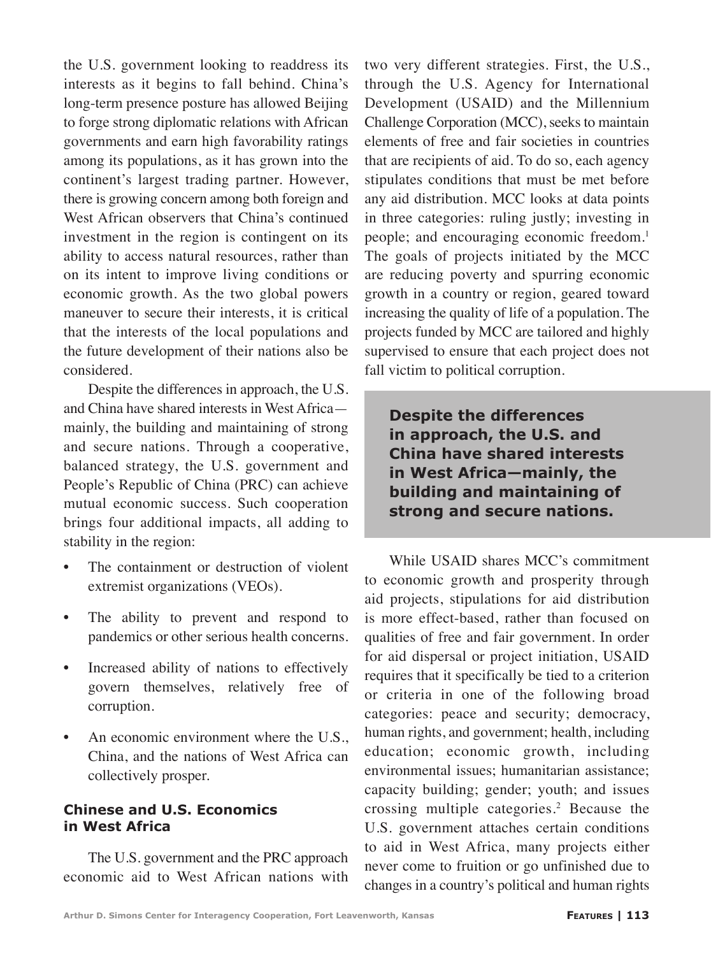the U.S. government looking to readdress its interests as it begins to fall behind. China's long-term presence posture has allowed Beijing to forge strong diplomatic relations with African governments and earn high favorability ratings among its populations, as it has grown into the continent's largest trading partner. However, there is growing concern among both foreign and West African observers that China's continued investment in the region is contingent on its ability to access natural resources, rather than on its intent to improve living conditions or economic growth. As the two global powers maneuver to secure their interests, it is critical that the interests of the local populations and the future development of their nations also be considered.

Despite the differences in approach, the U.S. and China have shared interests in West Africa mainly, the building and maintaining of strong and secure nations. Through a cooperative, balanced strategy, the U.S. government and People's Republic of China (PRC) can achieve mutual economic success. Such cooperation brings four additional impacts, all adding to stability in the region:

- The containment or destruction of violent extremist organizations (VEOs).
- The ability to prevent and respond to pandemics or other serious health concerns.
- Increased ability of nations to effectively govern themselves, relatively free of corruption.
- An economic environment where the U.S., China, and the nations of West Africa can collectively prosper.

# **Chinese and U.S. Economics in West Africa**

The U.S. government and the PRC approach economic aid to West African nations with two very different strategies. First, the U.S., through the U.S. Agency for International Development (USAID) and the Millennium Challenge Corporation (MCC), seeks to maintain elements of free and fair societies in countries that are recipients of aid. To do so, each agency stipulates conditions that must be met before any aid distribution. MCC looks at data points in three categories: ruling justly; investing in people; and encouraging economic freedom.<sup>1</sup> The goals of projects initiated by the MCC are reducing poverty and spurring economic growth in a country or region, geared toward increasing the quality of life of a population. The projects funded by MCC are tailored and highly supervised to ensure that each project does not fall victim to political corruption.

**Despite the differences in approach, the U.S. and China have shared interests in West Africa—mainly, the building and maintaining of strong and secure nations.**

While USAID shares MCC's commitment to economic growth and prosperity through aid projects, stipulations for aid distribution is more effect-based, rather than focused on qualities of free and fair government. In order for aid dispersal or project initiation, USAID requires that it specifically be tied to a criterion or criteria in one of the following broad categories: peace and security; democracy, human rights, and government; health, including education; economic growth, including environmental issues; humanitarian assistance; capacity building; gender; youth; and issues crossing multiple categories.2 Because the U.S. government attaches certain conditions to aid in West Africa, many projects either never come to fruition or go unfinished due to changes in a country's political and human rights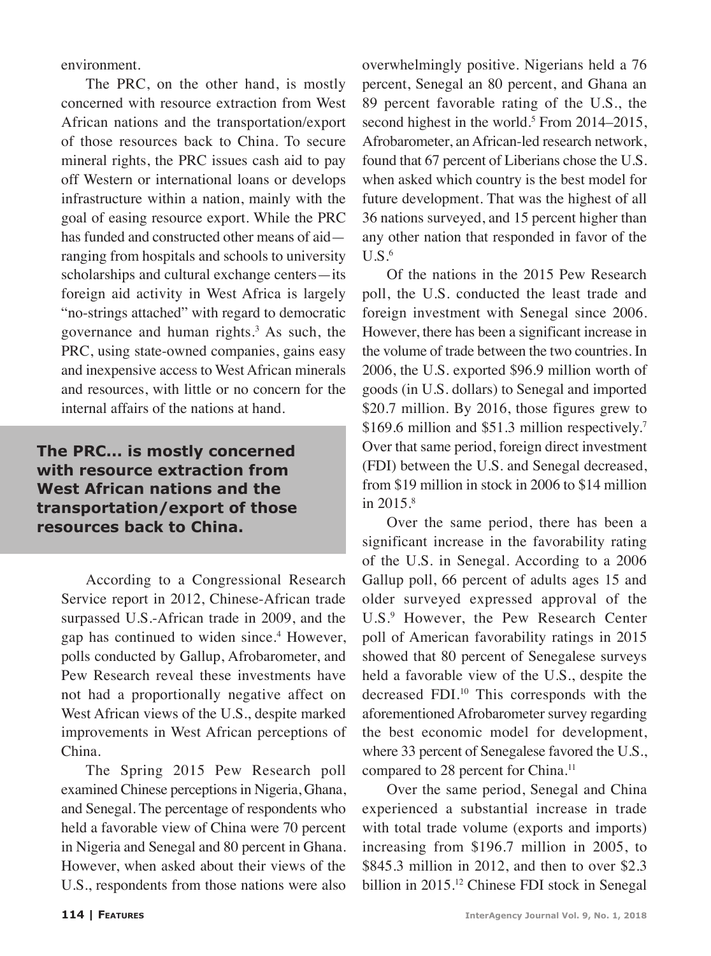environment.

The PRC, on the other hand, is mostly concerned with resource extraction from West African nations and the transportation/export of those resources back to China. To secure mineral rights, the PRC issues cash aid to pay off Western or international loans or develops infrastructure within a nation, mainly with the goal of easing resource export. While the PRC has funded and constructed other means of aid ranging from hospitals and schools to university scholarships and cultural exchange centers—its foreign aid activity in West Africa is largely "no-strings attached" with regard to democratic governance and human rights.3 As such, the PRC, using state-owned companies, gains easy and inexpensive access to West African minerals and resources, with little or no concern for the internal affairs of the nations at hand.

**The PRC... is mostly concerned with resource extraction from West African nations and the transportation/export of those resources back to China.**

According to a Congressional Research Service report in 2012, Chinese-African trade surpassed U.S.-African trade in 2009, and the gap has continued to widen since.<sup>4</sup> However, polls conducted by Gallup, Afrobarometer, and Pew Research reveal these investments have not had a proportionally negative affect on West African views of the U.S., despite marked improvements in West African perceptions of China.

The Spring 2015 Pew Research poll examined Chinese perceptions in Nigeria, Ghana, and Senegal. The percentage of respondents who held a favorable view of China were 70 percent in Nigeria and Senegal and 80 percent in Ghana. However, when asked about their views of the U.S., respondents from those nations were also

overwhelmingly positive. Nigerians held a 76 percent, Senegal an 80 percent, and Ghana an 89 percent favorable rating of the U.S., the second highest in the world.<sup>5</sup> From 2014–2015, Afrobarometer, an African-led research network, found that 67 percent of Liberians chose the U.S. when asked which country is the best model for future development. That was the highest of all 36 nations surveyed, and 15 percent higher than any other nation that responded in favor of the  $U.S.<sup>6</sup>$ 

Of the nations in the 2015 Pew Research poll, the U.S. conducted the least trade and foreign investment with Senegal since 2006. However, there has been a significant increase in the volume of trade between the two countries. In 2006, the U.S. exported \$96.9 million worth of goods (in U.S. dollars) to Senegal and imported \$20.7 million. By 2016, those figures grew to \$169.6 million and \$51.3 million respectively.<sup>7</sup> Over that same period, foreign direct investment (FDI) between the U.S. and Senegal decreased, from \$19 million in stock in 2006 to \$14 million in 2015.<sup>8</sup>

Over the same period, there has been a significant increase in the favorability rating of the U.S. in Senegal. According to a 2006 Gallup poll, 66 percent of adults ages 15 and older surveyed expressed approval of the U.S.<sup>9</sup> However, the Pew Research Center poll of American favorability ratings in 2015 showed that 80 percent of Senegalese surveys held a favorable view of the U.S., despite the decreased FDI.10 This corresponds with the aforementioned Afrobarometer survey regarding the best economic model for development, where 33 percent of Senegalese favored the U.S., compared to 28 percent for China.<sup>11</sup>

Over the same period, Senegal and China experienced a substantial increase in trade with total trade volume (exports and imports) increasing from \$196.7 million in 2005, to \$845.3 million in 2012, and then to over \$2.3 billion in 2015.<sup>12</sup> Chinese FDI stock in Senegal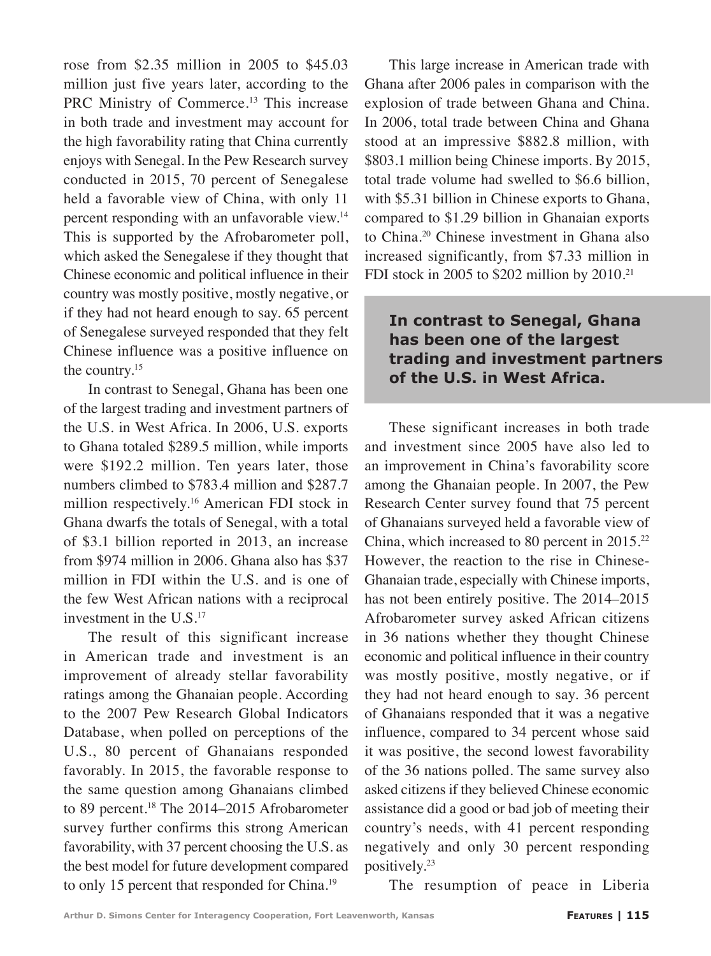rose from \$2.35 million in 2005 to \$45.03 million just five years later, according to the PRC Ministry of Commerce.<sup>13</sup> This increase in both trade and investment may account for the high favorability rating that China currently enjoys with Senegal. In the Pew Research survey conducted in 2015, 70 percent of Senegalese held a favorable view of China, with only 11 percent responding with an unfavorable view.14 This is supported by the Afrobarometer poll, which asked the Senegalese if they thought that Chinese economic and political influence in their country was mostly positive, mostly negative, or if they had not heard enough to say. 65 percent of Senegalese surveyed responded that they felt Chinese influence was a positive influence on the country.<sup>15</sup>

In contrast to Senegal, Ghana has been one of the largest trading and investment partners of the U.S. in West Africa. In 2006, U.S. exports to Ghana totaled \$289.5 million, while imports were \$192.2 million. Ten years later, those numbers climbed to \$783.4 million and \$287.7 million respectively.<sup>16</sup> American FDI stock in Ghana dwarfs the totals of Senegal, with a total of \$3.1 billion reported in 2013, an increase from \$974 million in 2006. Ghana also has \$37 million in FDI within the U.S. and is one of the few West African nations with a reciprocal investment in the  $U.S.<sup>17</sup>$ 

The result of this significant increase in American trade and investment is an improvement of already stellar favorability ratings among the Ghanaian people. According to the 2007 Pew Research Global Indicators Database, when polled on perceptions of the U.S., 80 percent of Ghanaians responded favorably. In 2015, the favorable response to the same question among Ghanaians climbed to 89 percent.<sup>18</sup> The 2014–2015 Afrobarometer survey further confirms this strong American favorability, with 37 percent choosing the U.S. as the best model for future development compared to only 15 percent that responded for China.<sup>19</sup>

This large increase in American trade with Ghana after 2006 pales in comparison with the explosion of trade between Ghana and China. In 2006, total trade between China and Ghana stood at an impressive \$882.8 million, with \$803.1 million being Chinese imports. By 2015, total trade volume had swelled to \$6.6 billion, with \$5.31 billion in Chinese exports to Ghana, compared to \$1.29 billion in Ghanaian exports to China.20 Chinese investment in Ghana also increased significantly, from \$7.33 million in FDI stock in 2005 to \$202 million by  $2010<sup>21</sup>$ 

# **In contrast to Senegal, Ghana has been one of the largest trading and investment partners of the U.S. in West Africa.**

These significant increases in both trade and investment since 2005 have also led to an improvement in China's favorability score among the Ghanaian people. In 2007, the Pew Research Center survey found that 75 percent of Ghanaians surveyed held a favorable view of China, which increased to 80 percent in 2015.22 However, the reaction to the rise in Chinese-Ghanaian trade, especially with Chinese imports, has not been entirely positive. The 2014–2015 Afrobarometer survey asked African citizens in 36 nations whether they thought Chinese economic and political influence in their country was mostly positive, mostly negative, or if they had not heard enough to say. 36 percent of Ghanaians responded that it was a negative influence, compared to 34 percent whose said it was positive, the second lowest favorability of the 36 nations polled. The same survey also asked citizens if they believed Chinese economic assistance did a good or bad job of meeting their country's needs, with 41 percent responding negatively and only 30 percent responding positively.23

The resumption of peace in Liberia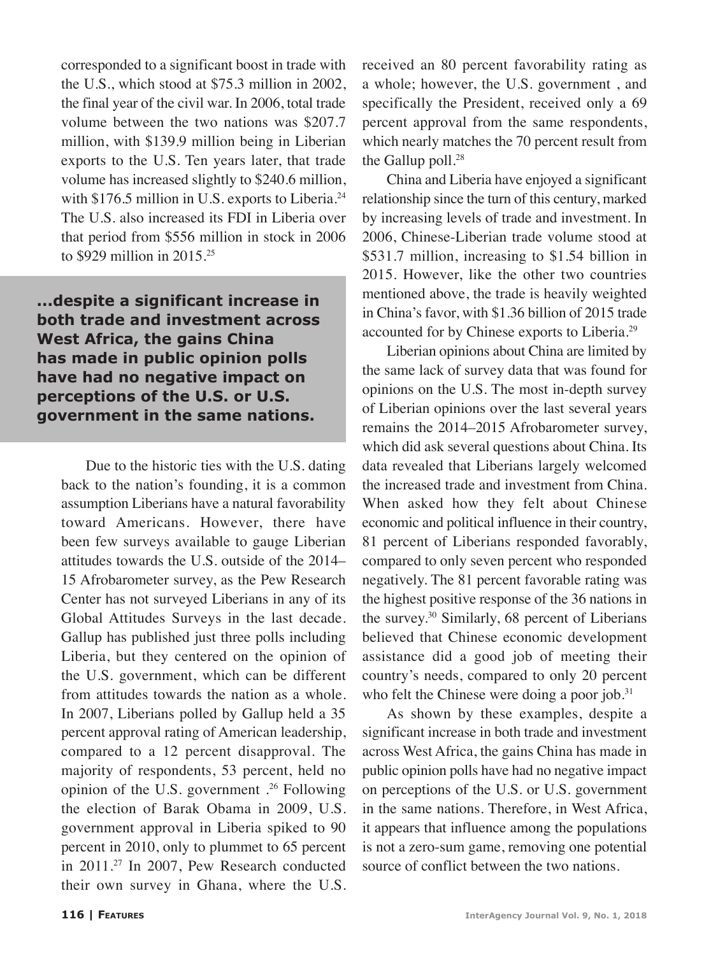corresponded to a significant boost in trade with the U.S., which stood at \$75.3 million in 2002, the final year of the civil war. In 2006, total trade volume between the two nations was \$207.7 million, with \$139.9 million being in Liberian exports to the U.S. Ten years later, that trade volume has increased slightly to \$240.6 million, with \$176.5 million in U.S. exports to Liberia.<sup>24</sup> The U.S. also increased its FDI in Liberia over that period from \$556 million in stock in 2006 to \$929 million in 2015.25

**...despite a significant increase in both trade and investment across West Africa, the gains China has made in public opinion polls have had no negative impact on perceptions of the U.S. or U.S. government in the same nations.**

Due to the historic ties with the U.S. dating back to the nation's founding, it is a common assumption Liberians have a natural favorability toward Americans. However, there have been few surveys available to gauge Liberian attitudes towards the U.S. outside of the 2014– 15 Afrobarometer survey, as the Pew Research Center has not surveyed Liberians in any of its Global Attitudes Surveys in the last decade. Gallup has published just three polls including Liberia, but they centered on the opinion of the U.S. government, which can be different from attitudes towards the nation as a whole. In 2007, Liberians polled by Gallup held a 35 percent approval rating of American leadership, compared to a 12 percent disapproval. The majority of respondents, 53 percent, held no opinion of the U.S. government .26 Following the election of Barak Obama in 2009, U.S. government approval in Liberia spiked to 90 percent in 2010, only to plummet to 65 percent in 2011.27 In 2007, Pew Research conducted their own survey in Ghana, where the U.S. received an 80 percent favorability rating as a whole; however, the U.S. government , and specifically the President, received only a 69 percent approval from the same respondents, which nearly matches the 70 percent result from the Gallup poll.<sup>28</sup>

China and Liberia have enjoyed a significant relationship since the turn of this century, marked by increasing levels of trade and investment. In 2006, Chinese-Liberian trade volume stood at \$531.7 million, increasing to \$1.54 billion in 2015. However, like the other two countries mentioned above, the trade is heavily weighted in China's favor, with \$1.36 billion of 2015 trade accounted for by Chinese exports to Liberia.29

Liberian opinions about China are limited by the same lack of survey data that was found for opinions on the U.S. The most in-depth survey of Liberian opinions over the last several years remains the 2014–2015 Afrobarometer survey, which did ask several questions about China. Its data revealed that Liberians largely welcomed the increased trade and investment from China. When asked how they felt about Chinese economic and political influence in their country, 81 percent of Liberians responded favorably, compared to only seven percent who responded negatively. The 81 percent favorable rating was the highest positive response of the 36 nations in the survey.<sup>30</sup> Similarly, 68 percent of Liberians believed that Chinese economic development assistance did a good job of meeting their country's needs, compared to only 20 percent who felt the Chinese were doing a poor job. $31$ 

As shown by these examples, despite a significant increase in both trade and investment across West Africa, the gains China has made in public opinion polls have had no negative impact on perceptions of the U.S. or U.S. government in the same nations. Therefore, in West Africa, it appears that influence among the populations is not a zero-sum game, removing one potential source of conflict between the two nations.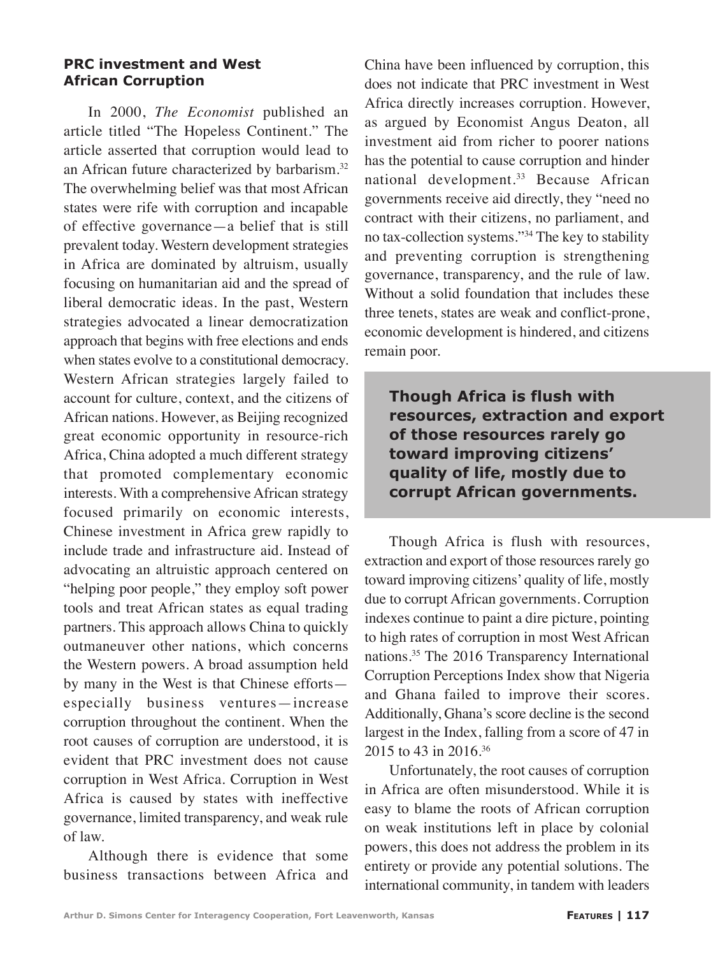#### **PRC investment and West African Corruption**

In 2000, *The Economist* published an article titled "The Hopeless Continent." The article asserted that corruption would lead to an African future characterized by barbarism.<sup>32</sup> The overwhelming belief was that most African states were rife with corruption and incapable of effective governance—a belief that is still prevalent today. Western development strategies in Africa are dominated by altruism, usually focusing on humanitarian aid and the spread of liberal democratic ideas. In the past, Western strategies advocated a linear democratization approach that begins with free elections and ends when states evolve to a constitutional democracy. Western African strategies largely failed to account for culture, context, and the citizens of African nations. However, as Beijing recognized great economic opportunity in resource-rich Africa, China adopted a much different strategy that promoted complementary economic interests. With a comprehensive African strategy focused primarily on economic interests, Chinese investment in Africa grew rapidly to include trade and infrastructure aid. Instead of advocating an altruistic approach centered on "helping poor people," they employ soft power tools and treat African states as equal trading partners. This approach allows China to quickly outmaneuver other nations, which concerns the Western powers. A broad assumption held by many in the West is that Chinese efforts especially business ventures—increase corruption throughout the continent. When the root causes of corruption are understood, it is evident that PRC investment does not cause corruption in West Africa. Corruption in West Africa is caused by states with ineffective governance, limited transparency, and weak rule of law.

Although there is evidence that some business transactions between Africa and

China have been influenced by corruption, this does not indicate that PRC investment in West Africa directly increases corruption. However, as argued by Economist Angus Deaton, all investment aid from richer to poorer nations has the potential to cause corruption and hinder national development.<sup>33</sup> Because African governments receive aid directly, they "need no contract with their citizens, no parliament, and no tax-collection systems."34 The key to stability and preventing corruption is strengthening governance, transparency, and the rule of law. Without a solid foundation that includes these three tenets, states are weak and conflict-prone, economic development is hindered, and citizens remain poor.

**Though Africa is flush with resources, extraction and export of those resources rarely go toward improving citizens' quality of life, mostly due to corrupt African governments.**

Though Africa is flush with resources, extraction and export of those resources rarely go toward improving citizens' quality of life, mostly due to corrupt African governments. Corruption indexes continue to paint a dire picture, pointing to high rates of corruption in most West African nations.35 The 2016 Transparency International Corruption Perceptions Index show that Nigeria and Ghana failed to improve their scores. Additionally, Ghana's score decline is the second largest in the Index, falling from a score of 47 in 2015 to 43 in 2016.36

Unfortunately, the root causes of corruption in Africa are often misunderstood. While it is easy to blame the roots of African corruption on weak institutions left in place by colonial powers, this does not address the problem in its entirety or provide any potential solutions. The international community, in tandem with leaders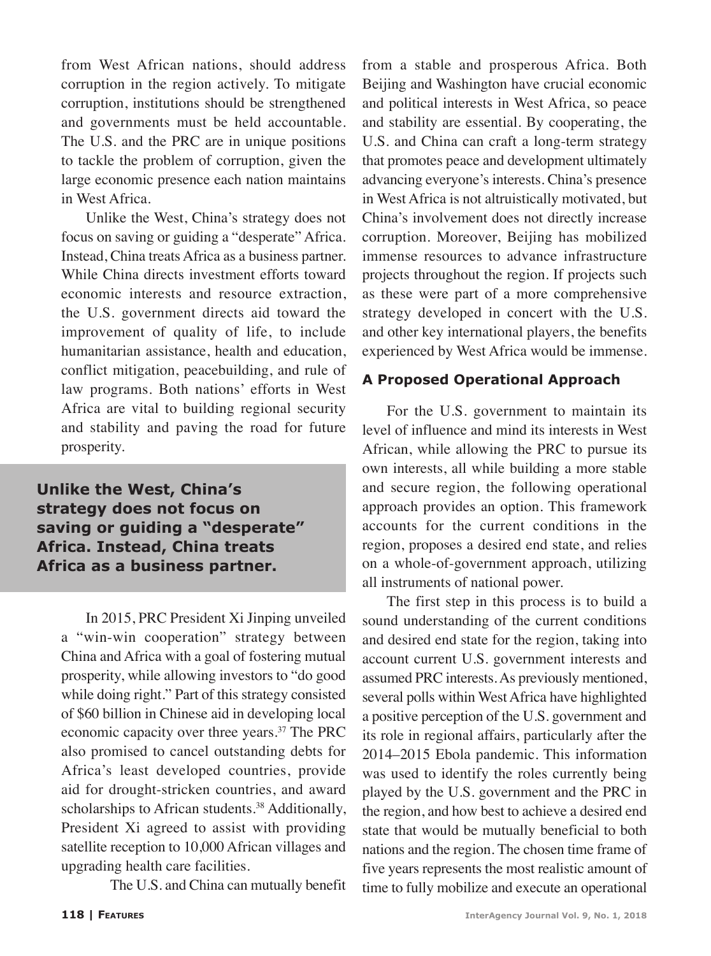from West African nations, should address corruption in the region actively. To mitigate corruption, institutions should be strengthened and governments must be held accountable. The U.S. and the PRC are in unique positions to tackle the problem of corruption, given the large economic presence each nation maintains in West Africa.

Unlike the West, China's strategy does not focus on saving or guiding a "desperate" Africa. Instead, China treats Africa as a business partner. While China directs investment efforts toward economic interests and resource extraction, the U.S. government directs aid toward the improvement of quality of life, to include humanitarian assistance, health and education, conflict mitigation, peacebuilding, and rule of law programs. Both nations' efforts in West Africa are vital to building regional security and stability and paving the road for future prosperity.

**Unlike the West, China's strategy does not focus on saving or guiding a "desperate" Africa. Instead, China treats Africa as a business partner.** 

In 2015, PRC President Xi Jinping unveiled a "win-win cooperation" strategy between China and Africa with a goal of fostering mutual prosperity, while allowing investors to "do good while doing right." Part of this strategy consisted of \$60 billion in Chinese aid in developing local economic capacity over three years.37 The PRC also promised to cancel outstanding debts for Africa's least developed countries, provide aid for drought-stricken countries, and award scholarships to African students.<sup>38</sup> Additionally, President Xi agreed to assist with providing satellite reception to 10,000 African villages and upgrading health care facilities.

The U.S. and China can mutually benefit

from a stable and prosperous Africa. Both Beijing and Washington have crucial economic and political interests in West Africa, so peace and stability are essential. By cooperating, the U.S. and China can craft a long-term strategy that promotes peace and development ultimately advancing everyone's interests. China's presence in West Africa is not altruistically motivated, but China's involvement does not directly increase corruption. Moreover, Beijing has mobilized immense resources to advance infrastructure projects throughout the region. If projects such as these were part of a more comprehensive strategy developed in concert with the U.S. and other key international players, the benefits experienced by West Africa would be immense.

# **A Proposed Operational Approach**

For the U.S. government to maintain its level of influence and mind its interests in West African, while allowing the PRC to pursue its own interests, all while building a more stable and secure region, the following operational approach provides an option. This framework accounts for the current conditions in the region, proposes a desired end state, and relies on a whole-of-government approach, utilizing all instruments of national power.

The first step in this process is to build a sound understanding of the current conditions and desired end state for the region, taking into account current U.S. government interests and assumed PRC interests. As previously mentioned, several polls within West Africa have highlighted a positive perception of the U.S. government and its role in regional affairs, particularly after the 2014–2015 Ebola pandemic. This information was used to identify the roles currently being played by the U.S. government and the PRC in the region, and how best to achieve a desired end state that would be mutually beneficial to both nations and the region. The chosen time frame of five years represents the most realistic amount of time to fully mobilize and execute an operational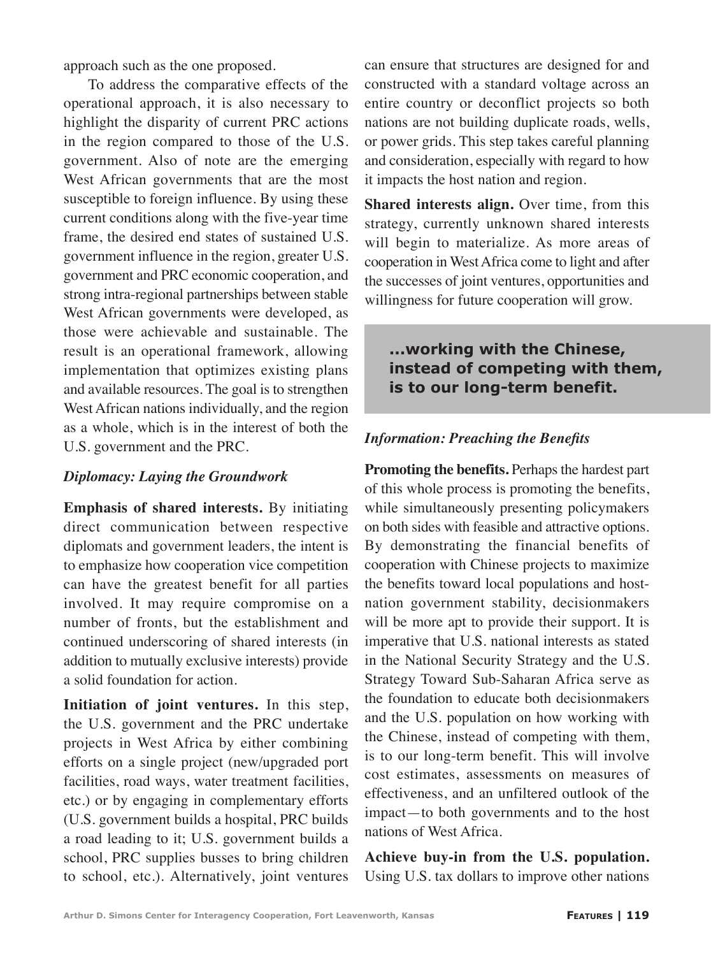approach such as the one proposed.

To address the comparative effects of the operational approach, it is also necessary to highlight the disparity of current PRC actions in the region compared to those of the U.S. government. Also of note are the emerging West African governments that are the most susceptible to foreign influence. By using these current conditions along with the five-year time frame, the desired end states of sustained U.S. government influence in the region, greater U.S. government and PRC economic cooperation, and strong intra-regional partnerships between stable West African governments were developed, as those were achievable and sustainable. The result is an operational framework, allowing implementation that optimizes existing plans and available resources. The goal is to strengthen West African nations individually, and the region as a whole, which is in the interest of both the U.S. government and the PRC.

# *Diplomacy: Laying the Groundwork*

**Emphasis of shared interests.** By initiating direct communication between respective diplomats and government leaders, the intent is to emphasize how cooperation vice competition can have the greatest benefit for all parties involved. It may require compromise on a number of fronts, but the establishment and continued underscoring of shared interests (in addition to mutually exclusive interests) provide a solid foundation for action.

**Initiation of joint ventures.** In this step, the U.S. government and the PRC undertake projects in West Africa by either combining efforts on a single project (new/upgraded port facilities, road ways, water treatment facilities, etc.) or by engaging in complementary efforts (U.S. government builds a hospital, PRC builds a road leading to it; U.S. government builds a school, PRC supplies busses to bring children to school, etc.). Alternatively, joint ventures can ensure that structures are designed for and constructed with a standard voltage across an entire country or deconflict projects so both nations are not building duplicate roads, wells, or power grids. This step takes careful planning and consideration, especially with regard to how it impacts the host nation and region.

**Shared interests align.** Over time, from this strategy, currently unknown shared interests will begin to materialize. As more areas of cooperation in West Africa come to light and after the successes of joint ventures, opportunities and willingness for future cooperation will grow.

# **...working with the Chinese, instead of competing with them, is to our long-term benefit.**

# *Information: Preaching the Benefits*

**Promoting the benefits.** Perhaps the hardest part of this whole process is promoting the benefits, while simultaneously presenting policymakers on both sides with feasible and attractive options. By demonstrating the financial benefits of cooperation with Chinese projects to maximize the benefits toward local populations and hostnation government stability, decisionmakers will be more apt to provide their support. It is imperative that U.S. national interests as stated in the National Security Strategy and the U.S. Strategy Toward Sub-Saharan Africa serve as the foundation to educate both decisionmakers and the U.S. population on how working with the Chinese, instead of competing with them, is to our long-term benefit. This will involve cost estimates, assessments on measures of effectiveness, and an unfiltered outlook of the impact—to both governments and to the host nations of West Africa.

**Achieve buy-in from the U.S. population.** Using U.S. tax dollars to improve other nations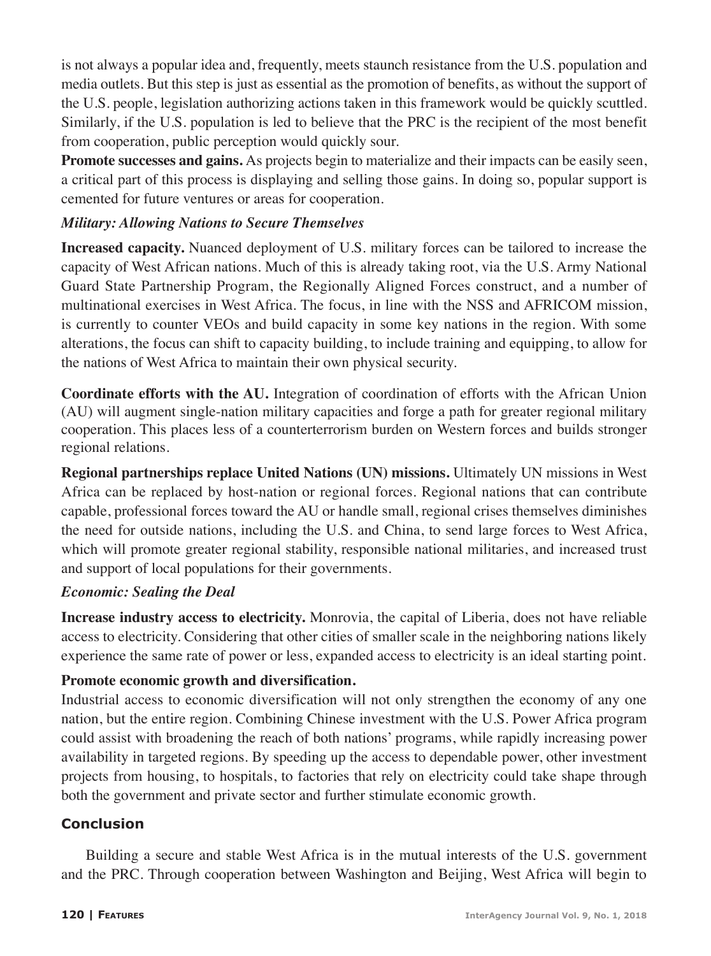is not always a popular idea and, frequently, meets staunch resistance from the U.S. population and media outlets. But this step is just as essential as the promotion of benefits, as without the support of the U.S. people, legislation authorizing actions taken in this framework would be quickly scuttled. Similarly, if the U.S. population is led to believe that the PRC is the recipient of the most benefit from cooperation, public perception would quickly sour.

**Promote successes and gains.** As projects begin to materialize and their impacts can be easily seen, a critical part of this process is displaying and selling those gains. In doing so, popular support is cemented for future ventures or areas for cooperation.

# *Military: Allowing Nations to Secure Themselves*

**Increased capacity.** Nuanced deployment of U.S. military forces can be tailored to increase the capacity of West African nations. Much of this is already taking root, via the U.S. Army National Guard State Partnership Program, the Regionally Aligned Forces construct, and a number of multinational exercises in West Africa. The focus, in line with the NSS and AFRICOM mission, is currently to counter VEOs and build capacity in some key nations in the region. With some alterations, the focus can shift to capacity building, to include training and equipping, to allow for the nations of West Africa to maintain their own physical security.

**Coordinate efforts with the AU.** Integration of coordination of efforts with the African Union (AU) will augment single-nation military capacities and forge a path for greater regional military cooperation. This places less of a counterterrorism burden on Western forces and builds stronger regional relations.

**Regional partnerships replace United Nations (UN) missions.** Ultimately UN missions in West Africa can be replaced by host-nation or regional forces. Regional nations that can contribute capable, professional forces toward the AU or handle small, regional crises themselves diminishes the need for outside nations, including the U.S. and China, to send large forces to West Africa, which will promote greater regional stability, responsible national militaries, and increased trust and support of local populations for their governments.

### *Economic: Sealing the Deal*

**Increase industry access to electricity.** Monrovia, the capital of Liberia, does not have reliable access to electricity. Considering that other cities of smaller scale in the neighboring nations likely experience the same rate of power or less, expanded access to electricity is an ideal starting point.

### **Promote economic growth and diversification.**

Industrial access to economic diversification will not only strengthen the economy of any one nation, but the entire region. Combining Chinese investment with the U.S. Power Africa program could assist with broadening the reach of both nations' programs, while rapidly increasing power availability in targeted regions. By speeding up the access to dependable power, other investment projects from housing, to hospitals, to factories that rely on electricity could take shape through both the government and private sector and further stimulate economic growth.

### **Conclusion**

Building a secure and stable West Africa is in the mutual interests of the U.S. government and the PRC. Through cooperation between Washington and Beijing, West Africa will begin to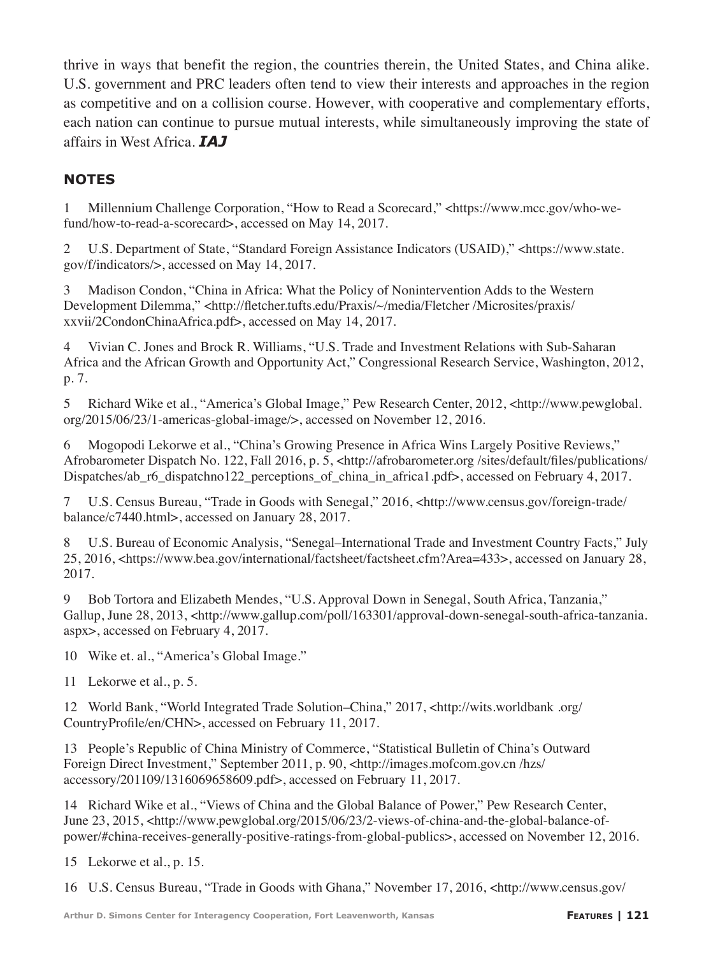thrive in ways that benefit the region, the countries therein, the United States, and China alike. U.S. government and PRC leaders often tend to view their interests and approaches in the region as competitive and on a collision course. However, with cooperative and complementary efforts, each nation can continue to pursue mutual interests, while simultaneously improving the state of affairs in West Africa. *IAJ*

# **NOTES**

1 Millennium Challenge Corporation, "How to Read a Scorecard," <https://www.mcc.gov/who-wefund/how-to-read-a-scorecard>, accessed on May 14, 2017.

2 U.S. Department of State, "Standard Foreign Assistance Indicators (USAID)," <https://www.state. gov/f/indicators/>, accessed on May 14, 2017.

3 Madison Condon, "China in Africa: What the Policy of Nonintervention Adds to the Western Development Dilemma," <http://fletcher.tufts.edu/Praxis/~/media/Fletcher /Microsites/praxis/ xxvii/2CondonChinaAfrica.pdf>, accessed on May 14, 2017.

4 Vivian C. Jones and Brock R. Williams, "U.S. Trade and Investment Relations with Sub-Saharan Africa and the African Growth and Opportunity Act," Congressional Research Service, Washington, 2012, p. 7.

5 Richard Wike et al., "America's Global Image," Pew Research Center, 2012, <http://www.pewglobal. org/2015/06/23/1-americas-global-image/>, accessed on November 12, 2016.

6 Mogopodi Lekorwe et al., "China's Growing Presence in Africa Wins Largely Positive Reviews," Afrobarometer Dispatch No. 122, Fall 2016, p. 5, <http://afrobarometer.org /sites/default/files/publications/ Dispatches/ab\_r6\_dispatchno122\_perceptions\_of\_china\_in\_africa1.pdf>, accessed on February 4, 2017.

7 U.S. Census Bureau, "Trade in Goods with Senegal," 2016, <http://www.census.gov/foreign-trade/ balance/c7440.html>, accessed on January 28, 2017.

8 U.S. Bureau of Economic Analysis, "Senegal–International Trade and Investment Country Facts," July 25, 2016, <https://www.bea.gov/international/factsheet/factsheet.cfm?Area=433>, accessed on January 28, 2017.

9 Bob Tortora and Elizabeth Mendes, "U.S. Approval Down in Senegal, South Africa, Tanzania," Gallup, June 28, 2013, <http://www.gallup.com/poll/163301/approval-down-senegal-south-africa-tanzania. aspx>, accessed on February 4, 2017.

10 Wike et. al., "America's Global Image."

11 Lekorwe et al., p. 5.

12 World Bank, "World Integrated Trade Solution–China," 2017, <http://wits.worldbank .org/ CountryProfile/en/CHN>, accessed on February 11, 2017.

13 People's Republic of China Ministry of Commerce, "Statistical Bulletin of China's Outward Foreign Direct Investment," September 2011, p. 90, <http://images.mofcom.gov.cn /hzs/ accessory/201109/1316069658609.pdf>, accessed on February 11, 2017.

14 Richard Wike et al., "Views of China and the Global Balance of Power," Pew Research Center, June 23, 2015, <http://www.pewglobal.org/2015/06/23/2-views-of-china-and-the-global-balance-ofpower/#china-receives-generally-positive-ratings-from-global-publics>, accessed on November 12, 2016.

15 Lekorwe et al., p. 15.

16 U.S. Census Bureau, "Trade in Goods with Ghana," November 17, 2016, <http://www.census.gov/